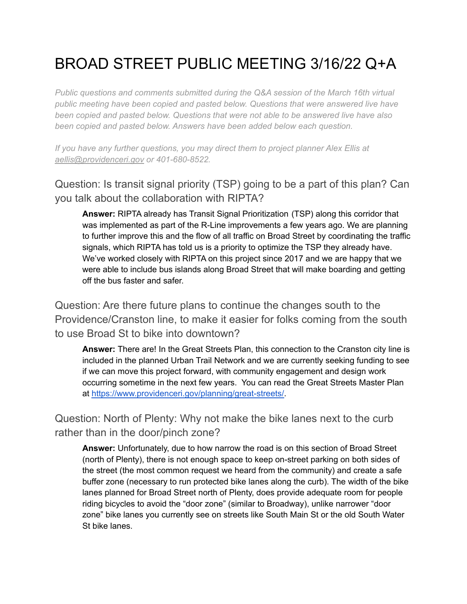## BROAD STREET PUBLIC MEETING 3/16/22 Q+A

*Public questions and comments submitted during the Q&A session of the March 16th virtual public meeting have been copied and pasted below. Questions that were answered live have been copied and pasted below. Questions that were not able to be answered live have also been copied and pasted below. Answers have been added below each question.*

*If you have any further questions, you may direct them to project planner Alex Ellis at [aellis@providenceri.gov](mailto:aellis@providenceri.gov) or 401-680-8522.*

Question: Is transit signal priority (TSP) going to be a part of this plan? Can you talk about the collaboration with RIPTA?

**Answer:** RIPTA already has Transit Signal Prioritization (TSP) along this corridor that was implemented as part of the R-Line improvements a few years ago. We are planning to further improve this and the flow of all traffic on Broad Street by coordinating the traffic signals, which RIPTA has told us is a priority to optimize the TSP they already have. We've worked closely with RIPTA on this project since 2017 and we are happy that we were able to include bus islands along Broad Street that will make boarding and getting off the bus faster and safer.

Question: Are there future plans to continue the changes south to the Providence/Cranston line, to make it easier for folks coming from the south to use Broad St to bike into downtown?

**Answer:** There are! In the Great Streets Plan, this connection to the Cranston city line is included in the planned Urban Trail Network and we are currently seeking funding to see if we can move this project forward, with community engagement and design work occurring sometime in the next few years. You can read the Great Streets Master Plan at [https://www.providenceri.gov/planning/great-streets/.](https://www.providenceri.gov/planning/great-streets/)

Question: North of Plenty: Why not make the bike lanes next to the curb rather than in the door/pinch zone?

**Answer:** Unfortunately, due to how narrow the road is on this section of Broad Street (north of Plenty), there is not enough space to keep on-street parking on both sides of the street (the most common request we heard from the community) and create a safe buffer zone (necessary to run protected bike lanes along the curb). The width of the bike lanes planned for Broad Street north of Plenty, does provide adequate room for people riding bicycles to avoid the "door zone" (similar to Broadway), unlike narrower "door zone" bike lanes you currently see on streets like South Main St or the old South Water St bike lanes.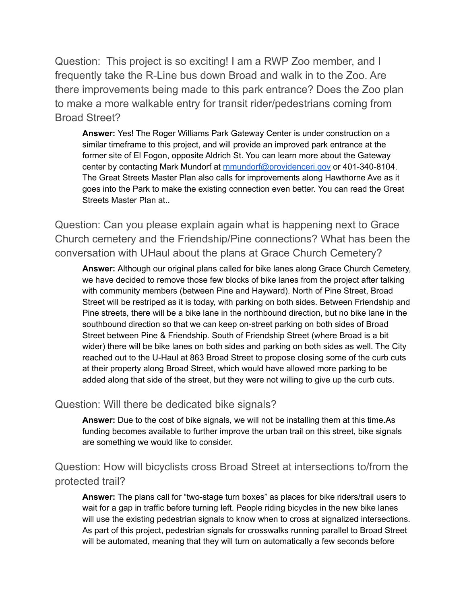Question: This project is so exciting! I am a RWP Zoo member, and I frequently take the R-Line bus down Broad and walk in to the Zoo. Are there improvements being made to this park entrance? Does the Zoo plan to make a more walkable entry for transit rider/pedestrians coming from Broad Street?

**Answer:** Yes! The Roger Williams Park Gateway Center is under construction on a similar timeframe to this project, and will provide an improved park entrance at the former site of El Fogon, opposite Aldrich St. You can learn more about the Gateway center by contacting Mark Mundorf at [mmundorf@providenceri.gov](mailto:mmundorf@providenceri.gov) or 401-340-8104. The Great Streets Master Plan also calls for improvements along Hawthorne Ave as it goes into the Park to make the existing connection even better. You can read the Great Streets Master Plan at..

Question: Can you please explain again what is happening next to Grace Church cemetery and the Friendship/Pine connections? What has been the conversation with UHaul about the plans at Grace Church Cemetery?

**Answer:** Although our original plans called for bike lanes along Grace Church Cemetery, we have decided to remove those few blocks of bike lanes from the project after talking with community members (between Pine and Hayward). North of Pine Street, Broad Street will be restriped as it is today, with parking on both sides. Between Friendship and Pine streets, there will be a bike lane in the northbound direction, but no bike lane in the southbound direction so that we can keep on-street parking on both sides of Broad Street between Pine & Friendship. South of Friendship Street (where Broad is a bit wider) there will be bike lanes on both sides and parking on both sides as well. The City reached out to the U-Haul at 863 Broad Street to propose closing some of the curb cuts at their property along Broad Street, which would have allowed more parking to be added along that side of the street, but they were not willing to give up the curb cuts.

## Question: Will there be dedicated bike signals?

**Answer:** Due to the cost of bike signals, we will not be installing them at this time.As funding becomes available to further improve the urban trail on this street, bike signals are something we would like to consider.

Question: How will bicyclists cross Broad Street at intersections to/from the protected trail?

**Answer:** The plans call for "two-stage turn boxes" as places for bike riders/trail users to wait for a gap in traffic before turning left. People riding bicycles in the new bike lanes will use the existing pedestrian signals to know when to cross at signalized intersections. As part of this project, pedestrian signals for crosswalks running parallel to Broad Street will be automated, meaning that they will turn on automatically a few seconds before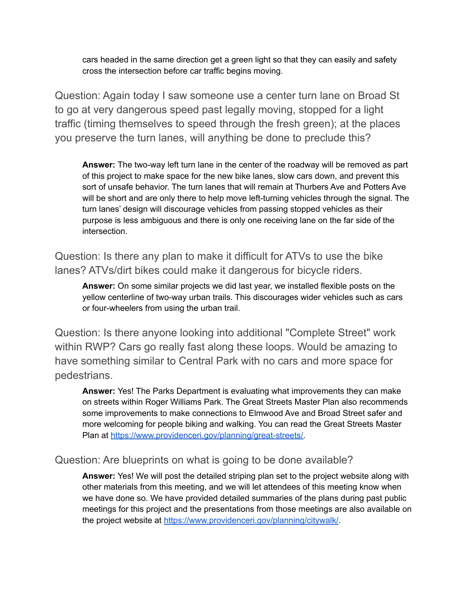cars headed in the same direction get a green light so that they can easily and safety cross the intersection before car traffic begins moving.

Question: Again today I saw someone use a center turn lane on Broad St to go at very dangerous speed past legally moving, stopped for a light traffic (timing themselves to speed through the fresh green); at the places you preserve the turn lanes, will anything be done to preclude this?

**Answer:** The two-way left turn lane in the center of the roadway will be removed as part of this project to make space for the new bike lanes, slow cars down, and prevent this sort of unsafe behavior. The turn lanes that will remain at Thurbers Ave and Potters Ave will be short and are only there to help move left-turning vehicles through the signal. The turn lanes' design will discourage vehicles from passing stopped vehicles as their purpose is less ambiguous and there is only one receiving lane on the far side of the intersection.

Question: Is there any plan to make it difficult for ATVs to use the bike lanes? ATVs/dirt bikes could make it dangerous for bicycle riders.

**Answer:** On some similar projects we did last year, we installed flexible posts on the yellow centerline of two-way urban trails. This discourages wider vehicles such as cars or four-wheelers from using the urban trail.

Question: Is there anyone looking into additional "Complete Street" work within RWP? Cars go really fast along these loops. Would be amazing to have something similar to Central Park with no cars and more space for pedestrians.

**Answer:** Yes! The Parks Department is evaluating what improvements they can make on streets within Roger Williams Park. The Great Streets Master Plan also recommends some improvements to make connections to Elmwood Ave and Broad Street safer and more welcoming for people biking and walking. You can read the Great Streets Master Plan at https://www.providenceri.gov/planning/great-streets/

## Question: Are blueprints on what is going to be done available?

**Answer:** Yes! We will post the detailed striping plan set to the project website along with other materials from this meeting, and we will let attendees of this meeting know when we have done so. We have provided detailed summaries of the plans during past public meetings for this project and the presentations from those meetings are also available on the project website at <https://www.providenceri.gov/planning/citywalk/>.